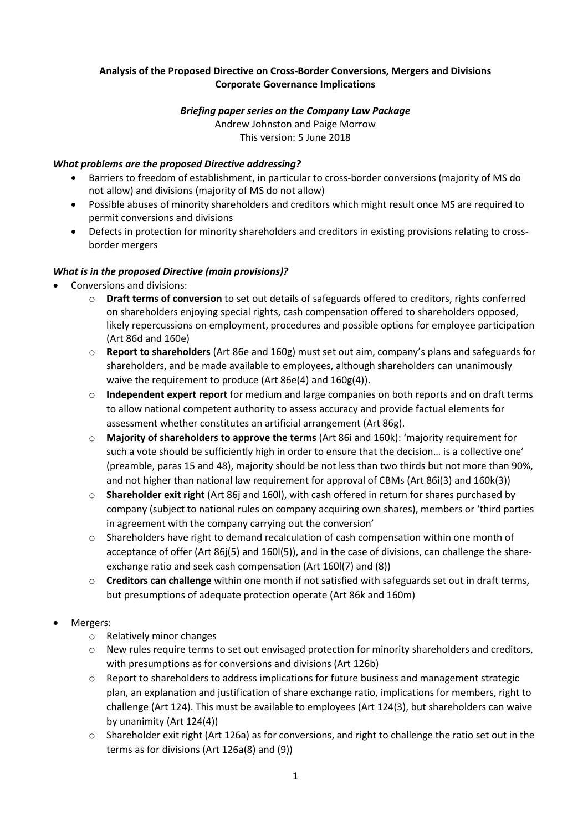# **Analysis of the Proposed Directive on Cross-Border Conversions, Mergers and Divisions Corporate Governance Implications**

## *Briefing paper series on the Company Law Package*

Andrew Johnston and Paige Morrow This version: 5 June 2018

## *What problems are the proposed Directive addressing?*

- Barriers to freedom of establishment, in particular to cross-border conversions (majority of MS do not allow) and divisions (majority of MS do not allow)
- Possible abuses of minority shareholders and creditors which might result once MS are required to permit conversions and divisions
- Defects in protection for minority shareholders and creditors in existing provisions relating to crossborder mergers

## *What is in the proposed Directive (main provisions)?*

- Conversions and divisions:
	- o **Draft terms of conversion** to set out details of safeguards offered to creditors, rights conferred on shareholders enjoying special rights, cash compensation offered to shareholders opposed, likely repercussions on employment, procedures and possible options for employee participation (Art 86d and 160e)
	- o **Report to shareholders** (Art 86e and 160g) must set out aim, company's plans and safeguards for shareholders, and be made available to employees, although shareholders can unanimously waive the requirement to produce (Art 86e(4) and 160g(4)).
	- o **Independent expert report** for medium and large companies on both reports and on draft terms to allow national competent authority to assess accuracy and provide factual elements for assessment whether constitutes an artificial arrangement (Art 86g).
	- o **Majority of shareholders to approve the terms** (Art 86i and 160k): 'majority requirement for such a vote should be sufficiently high in order to ensure that the decision… is a collective one' (preamble, paras 15 and 48), majority should be not less than two thirds but not more than 90%, and not higher than national law requirement for approval of CBMs (Art 86i(3) and 160k(3))
	- o **Shareholder exit right** (Art 86j and 160l), with cash offered in return for shares purchased by company (subject to national rules on company acquiring own shares), members or 'third parties in agreement with the company carrying out the conversion'
	- $\circ$  Shareholders have right to demand recalculation of cash compensation within one month of acceptance of offer (Art 86j(5) and 160l(5)), and in the case of divisions, can challenge the shareexchange ratio and seek cash compensation (Art 160l(7) and (8))
	- o **Creditors can challenge** within one month if not satisfied with safeguards set out in draft terms, but presumptions of adequate protection operate (Art 86k and 160m)

### Mergers:

- o Relatively minor changes
- o New rules require terms to set out envisaged protection for minority shareholders and creditors, with presumptions as for conversions and divisions (Art 126b)
- o Report to shareholders to address implications for future business and management strategic plan, an explanation and justification of share exchange ratio, implications for members, right to challenge (Art 124). This must be available to employees (Art 124(3), but shareholders can waive by unanimity (Art 124(4))
- $\circ$  Shareholder exit right (Art 126a) as for conversions, and right to challenge the ratio set out in the terms as for divisions (Art 126a(8) and (9))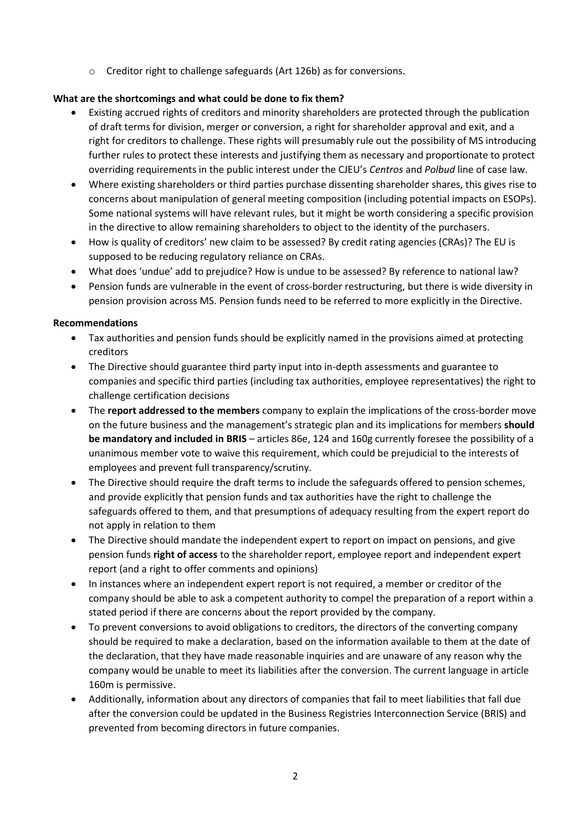o Creditor right to challenge safeguards (Art 126b) as for conversions.

# **What are the shortcomings and what could be done to fix them?**

- Existing accrued rights of creditors and minority shareholders are protected through the publication of draft terms for division, merger or conversion, a right for shareholder approval and exit, and a right for creditors to challenge. These rights will presumably rule out the possibility of MS introducing further rules to protect these interests and justifying them as necessary and proportionate to protect overriding requirements in the public interest under the CJEU's *Centros* and *Polbud* line of case law.
- Where existing shareholders or third parties purchase dissenting shareholder shares, this gives rise to concerns about manipulation of general meeting composition (including potential impacts on ESOPs). Some national systems will have relevant rules, but it might be worth considering a specific provision in the directive to allow remaining shareholders to object to the identity of the purchasers.
- How is quality of creditors' new claim to be assessed? By credit rating agencies (CRAs)? The EU is supposed to be reducing regulatory reliance on CRAs.
- What does 'undue' add to prejudice? How is undue to be assessed? By reference to national law?
- Pension funds are vulnerable in the event of cross-border restructuring, but there is wide diversity in pension provision across MS. Pension funds need to be referred to more explicitly in the Directive.

# **Recommendations**

- Tax authorities and pension funds should be explicitly named in the provisions aimed at protecting creditors
- The Directive should guarantee third party input into in-depth assessments and guarantee to companies and specific third parties (including tax authorities, employee representatives) the right to challenge certification decisions
- The **report addressed to the members** company to explain the implications of the cross-border move on the future business and the management's strategic plan and its implications for members **should be mandatory and included in BRIS** – articles 86e, 124 and 160g currently foresee the possibility of a unanimous member vote to waive this requirement, which could be prejudicial to the interests of employees and prevent full transparency/scrutiny.
- The Directive should require the draft terms to include the safeguards offered to pension schemes, and provide explicitly that pension funds and tax authorities have the right to challenge the safeguards offered to them, and that presumptions of adequacy resulting from the expert report do not apply in relation to them
- The Directive should mandate the independent expert to report on impact on pensions, and give pension funds **right of access** to the shareholder report, employee report and independent expert report (and a right to offer comments and opinions)
- In instances where an independent expert report is not required, a member or creditor of the company should be able to ask a competent authority to compel the preparation of a report within a stated period if there are concerns about the report provided by the company.
- To prevent conversions to avoid obligations to creditors, the directors of the converting company should be required to make a declaration, based on the information available to them at the date of the declaration, that they have made reasonable inquiries and are unaware of any reason why the company would be unable to meet its liabilities after the conversion. The current language in article 160m is permissive.
- Additionally, information about any directors of companies that fail to meet liabilities that fall due after the conversion could be updated in the Business Registries Interconnection Service (BRIS) and prevented from becoming directors in future companies.